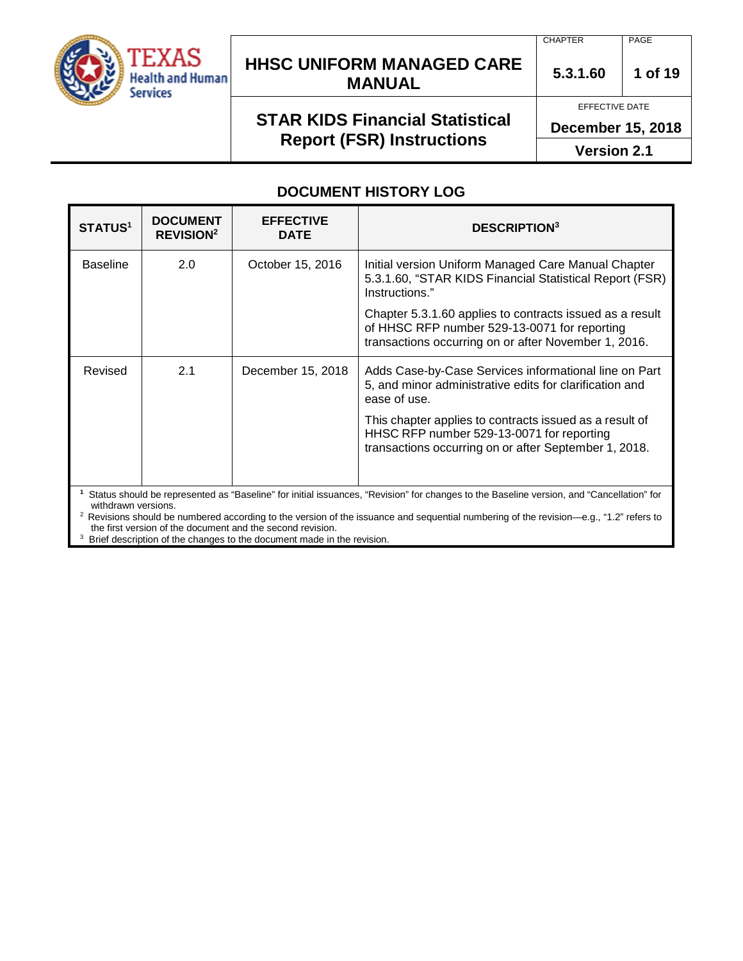

## **HHSC UNIFORM MANAGED CARE MANUAL 5.3.1.60 <sup>1</sup> of 19**

# **STAR KIDS Financial Statistical Report (FSR) Instructions**

CHAPTER PAGE

EFFECTIVE DATE

**December 15, 2018**

**Version 2.1**

### **DOCUMENT HISTORY LOG**

| <b>STATUS1</b>                                                                                                                                                                                                                                                                                                       | <b>DOCUMENT</b><br><b>REVISION<sup>2</sup></b> | <b>EFFECTIVE</b><br><b>DATE</b> | <b>DESCRIPTION3</b>                                                                                                                                              |
|----------------------------------------------------------------------------------------------------------------------------------------------------------------------------------------------------------------------------------------------------------------------------------------------------------------------|------------------------------------------------|---------------------------------|------------------------------------------------------------------------------------------------------------------------------------------------------------------|
| <b>Baseline</b>                                                                                                                                                                                                                                                                                                      | 2.0                                            | October 15, 2016                | Initial version Uniform Managed Care Manual Chapter<br>5.3.1.60, "STAR KIDS Financial Statistical Report (FSR)<br>Instructions."                                 |
|                                                                                                                                                                                                                                                                                                                      |                                                |                                 | Chapter 5.3.1.60 applies to contracts issued as a result<br>of HHSC RFP number 529-13-0071 for reporting<br>transactions occurring on or after November 1, 2016. |
| Revised                                                                                                                                                                                                                                                                                                              | 2.1                                            | December 15, 2018               | Adds Case-by-Case Services informational line on Part<br>5, and minor administrative edits for clarification and<br>ease of use.                                 |
|                                                                                                                                                                                                                                                                                                                      |                                                |                                 | This chapter applies to contracts issued as a result of<br>HHSC RFP number 529-13-0071 for reporting<br>transactions occurring on or after September 1, 2018.    |
| Status should be represented as "Baseline" for initial issuances, "Revision" for changes to the Baseline version, and "Cancellation" for<br>withdrawn versions.<br><sup>2</sup> Revisions should be numbered according to the version of the issuance and sequential numbering of the revision—e.g., "1.2" refers to |                                                |                                 |                                                                                                                                                                  |

the first version of the document and the second revision.

<sup>3</sup> Brief description of the changes to the document made in the revision.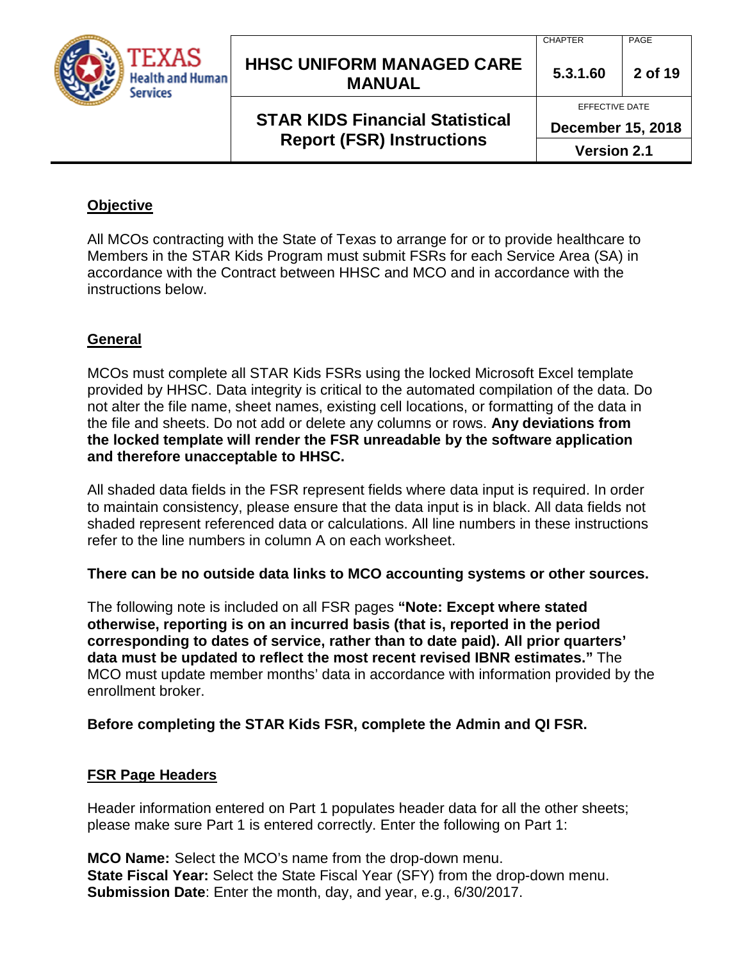

## **HHSC UNIFORM MANAGED CARE MANUAL 5.3.1.60 <sup>2</sup> of 19**

## **STAR KIDS Financial Statistical Report (FSR) Instructions**

EFFECTIVE DATE

**December 15, 2018**

**Version 2.1**

# **Objective**

All MCOs contracting with the State of Texas to arrange for or to provide healthcare to Members in the STAR Kids Program must submit FSRs for each Service Area (SA) in accordance with the Contract between HHSC and MCO and in accordance with the instructions below.

## **General**

MCOs must complete all STAR Kids FSRs using the locked Microsoft Excel template provided by HHSC. Data integrity is critical to the automated compilation of the data. Do not alter the file name, sheet names, existing cell locations, or formatting of the data in the file and sheets. Do not add or delete any columns or rows. **Any deviations from the locked template will render the FSR unreadable by the software application and therefore unacceptable to HHSC.**

All shaded data fields in the FSR represent fields where data input is required. In order to maintain consistency, please ensure that the data input is in black. All data fields not shaded represent referenced data or calculations. All line numbers in these instructions refer to the line numbers in column A on each worksheet.

**There can be no outside data links to MCO accounting systems or other sources.**

The following note is included on all FSR pages **"Note: Except where stated otherwise, reporting is on an incurred basis (that is, reported in the period corresponding to dates of service, rather than to date paid). All prior quarters' data must be updated to reflect the most recent revised IBNR estimates."** The MCO must update member months' data in accordance with information provided by the enrollment broker.

## **Before completing the STAR Kids FSR, complete the Admin and QI FSR.**

## **FSR Page Headers**

Header information entered on Part 1 populates header data for all the other sheets; please make sure Part 1 is entered correctly. Enter the following on Part 1:

**MCO Name:** Select the MCO's name from the drop-down menu. **State Fiscal Year:** Select the State Fiscal Year (SFY) from the drop-down menu. **Submission Date**: Enter the month, day, and year, e.g., 6/30/2017.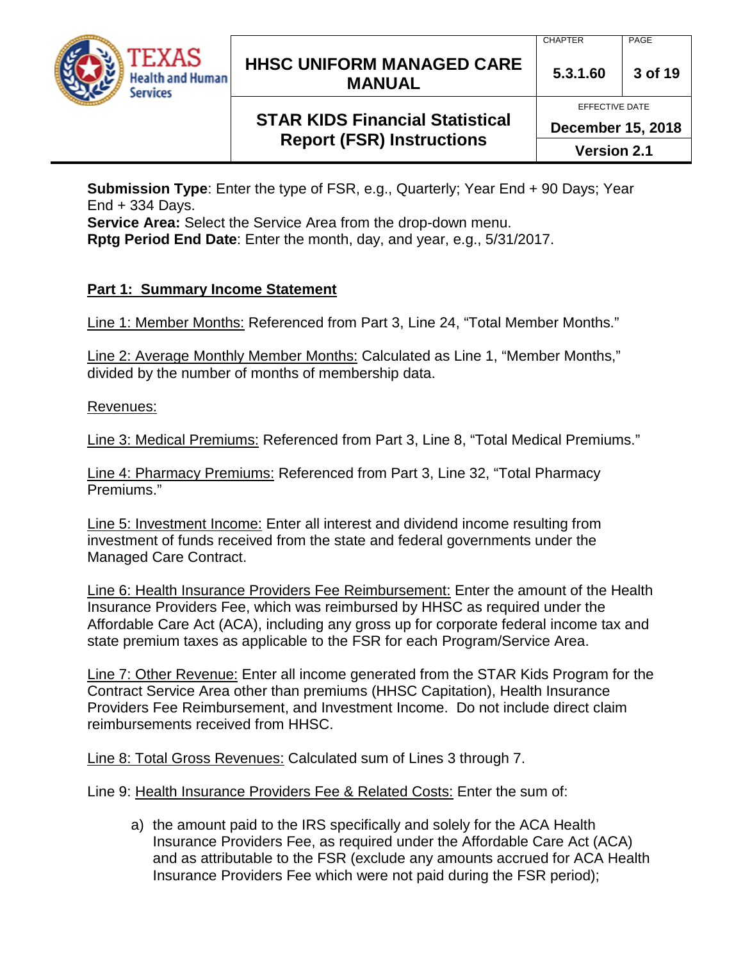

## **HHSC UNIFORM MANAGED CARE MANUAL 5.3.1.60 <sup>3</sup> of 19**

EFFECTIVE DATE

## **STAR KIDS Financial Statistical Report (FSR) Instructions**

**December 15, 2018**

**Version 2.1**

**Submission Type**: Enter the type of FSR, e.g., Quarterly; Year End + 90 Days; Year End  $+$  334 Days.

**Service Area:** Select the Service Area from the drop-down menu.

**Rptg Period End Date**: Enter the month, day, and year, e.g., 5/31/2017.

## **Part 1: Summary Income Statement**

Line 1: Member Months: Referenced from Part 3, Line 24, "Total Member Months."

Line 2: Average Monthly Member Months: Calculated as Line 1, "Member Months," divided by the number of months of membership data.

Revenues:

Line 3: Medical Premiums: Referenced from Part 3, Line 8, "Total Medical Premiums."

Line 4: Pharmacy Premiums: Referenced from Part 3, Line 32, "Total Pharmacy Premiums."

Line 5: Investment Income: Enter all interest and dividend income resulting from investment of funds received from the state and federal governments under the Managed Care Contract.

Line 6: Health Insurance Providers Fee Reimbursement: Enter the amount of the Health Insurance Providers Fee, which was reimbursed by HHSC as required under the Affordable Care Act (ACA), including any gross up for corporate federal income tax and state premium taxes as applicable to the FSR for each Program/Service Area.

Line 7: Other Revenue: Enter all income generated from the STAR Kids Program for the Contract Service Area other than premiums (HHSC Capitation), Health Insurance Providers Fee Reimbursement, and Investment Income. Do not include direct claim reimbursements received from HHSC.

Line 8: Total Gross Revenues: Calculated sum of Lines 3 through 7.

Line 9: Health Insurance Providers Fee & Related Costs: Enter the sum of:

a) the amount paid to the IRS specifically and solely for the ACA Health Insurance Providers Fee, as required under the Affordable Care Act (ACA) and as attributable to the FSR (exclude any amounts accrued for ACA Health Insurance Providers Fee which were not paid during the FSR period);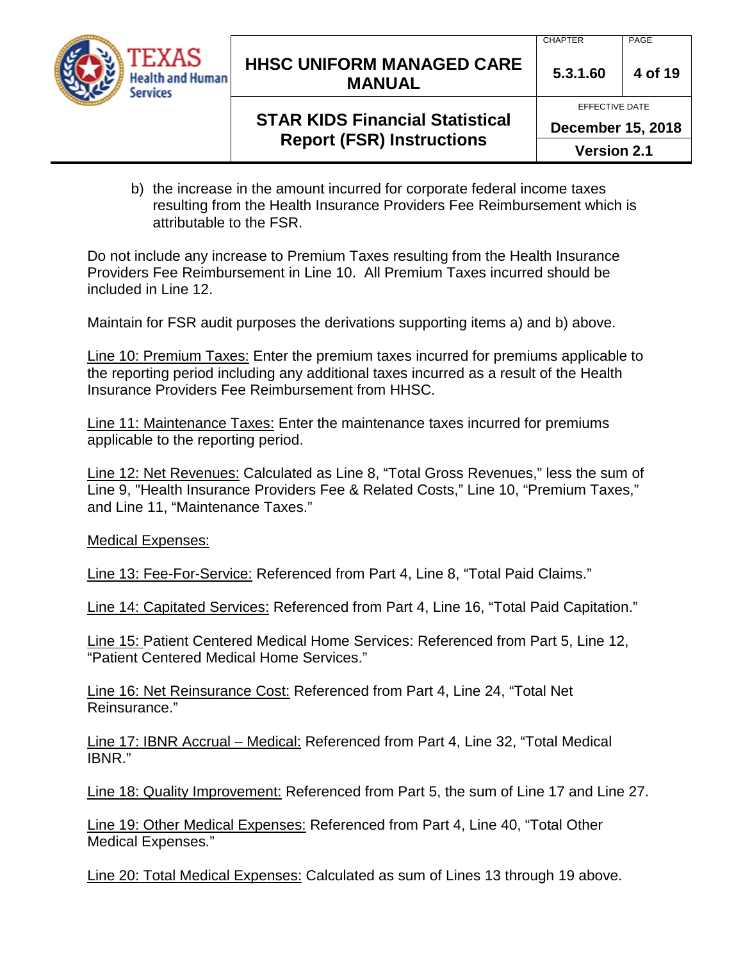

## **HHSC UNIFORM MANAGED CARE MANUAL** 5.3.1.60 4 of 19

EFFECTIVE DATE

## **STAR KIDS Financial Statistical Report (FSR) Instructions**

**December 15, 2018**

**Version 2.1**

b) the increase in the amount incurred for corporate federal income taxes resulting from the Health Insurance Providers Fee Reimbursement which is attributable to the FSR.

Do not include any increase to Premium Taxes resulting from the Health Insurance Providers Fee Reimbursement in Line 10. All Premium Taxes incurred should be included in Line 12.

Maintain for FSR audit purposes the derivations supporting items a) and b) above.

Line 10: Premium Taxes: Enter the premium taxes incurred for premiums applicable to the reporting period including any additional taxes incurred as a result of the Health Insurance Providers Fee Reimbursement from HHSC.

Line 11: Maintenance Taxes: Enter the maintenance taxes incurred for premiums applicable to the reporting period.

Line 12: Net Revenues: Calculated as Line 8, "Total Gross Revenues," less the sum of Line 9, "Health Insurance Providers Fee & Related Costs," Line 10, "Premium Taxes," and Line 11, "Maintenance Taxes."

Medical Expenses:

Line 13: Fee-For-Service: Referenced from Part 4, Line 8, "Total Paid Claims."

Line 14: Capitated Services: Referenced from Part 4, Line 16, "Total Paid Capitation."

Line 15: Patient Centered Medical Home Services: Referenced from Part 5, Line 12, "Patient Centered Medical Home Services."

Line 16: Net Reinsurance Cost: Referenced from Part 4, Line 24, "Total Net Reinsurance."

Line 17: IBNR Accrual – Medical: Referenced from Part 4, Line 32, "Total Medical IBNR."

Line 18: Quality Improvement: Referenced from Part 5, the sum of Line 17 and Line 27.

Line 19: Other Medical Expenses: Referenced from Part 4, Line 40, "Total Other Medical Expenses."

Line 20: Total Medical Expenses: Calculated as sum of Lines 13 through 19 above.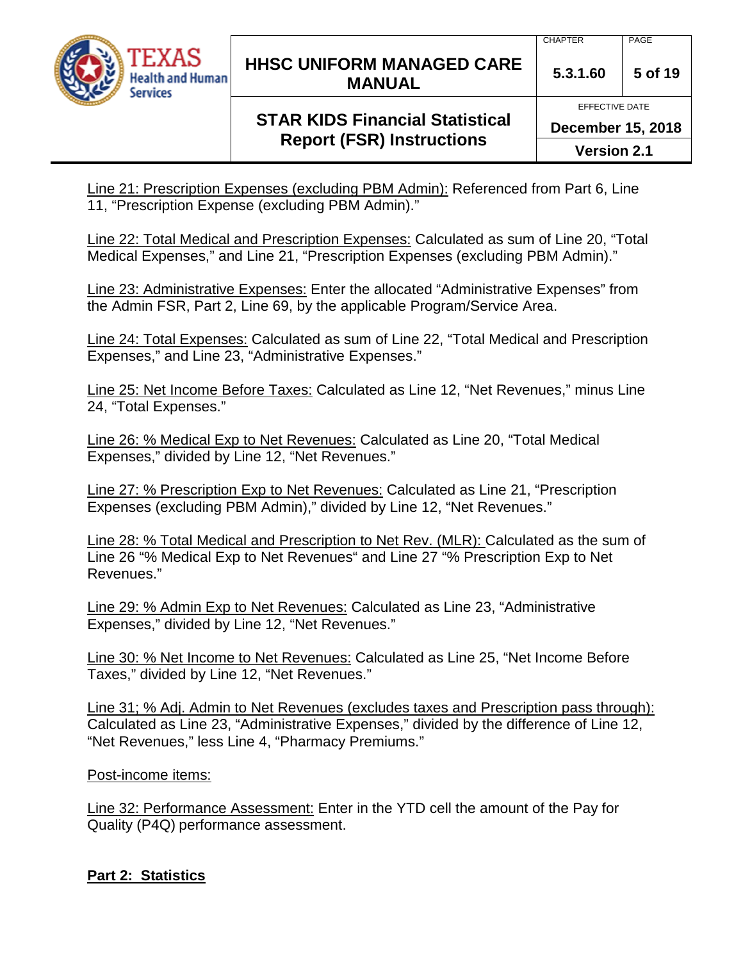

## **HHSC UNIFORM MANAGED CARE MANUAL 5.3.1.60 <sup>5</sup> of 19**

#### CHAPTER | PAGE

#### EFFECTIVE DATE

## **STAR KIDS Financial Statistical Report (FSR) Instructions**

**December 15, 2018**

**Version 2.1**

Line 21: Prescription Expenses (excluding PBM Admin): Referenced from Part 6, Line 11, "Prescription Expense (excluding PBM Admin)."

Line 22: Total Medical and Prescription Expenses: Calculated as sum of Line 20, "Total Medical Expenses," and Line 21, "Prescription Expenses (excluding PBM Admin)."

Line 23: Administrative Expenses: Enter the allocated "Administrative Expenses" from the Admin FSR, Part 2, Line 69, by the applicable Program/Service Area.

Line 24: Total Expenses: Calculated as sum of Line 22, "Total Medical and Prescription Expenses," and Line 23, "Administrative Expenses."

Line 25: Net Income Before Taxes: Calculated as Line 12, "Net Revenues," minus Line 24, "Total Expenses."

Line 26: % Medical Exp to Net Revenues: Calculated as Line 20, "Total Medical Expenses," divided by Line 12, "Net Revenues."

Line 27: % Prescription Exp to Net Revenues: Calculated as Line 21, "Prescription Expenses (excluding PBM Admin)," divided by Line 12, "Net Revenues."

Line 28: % Total Medical and Prescription to Net Rev. (MLR): Calculated as the sum of Line 26 "% Medical Exp to Net Revenues" and Line 27 "% Prescription Exp to Net Revenues."

Line 29: % Admin Exp to Net Revenues: Calculated as Line 23, "Administrative Expenses," divided by Line 12, "Net Revenues."

Line 30: % Net Income to Net Revenues: Calculated as Line 25, "Net Income Before Taxes," divided by Line 12, "Net Revenues."

Line 31; % Adj. Admin to Net Revenues (excludes taxes and Prescription pass through): Calculated as Line 23, "Administrative Expenses," divided by the difference of Line 12, "Net Revenues," less Line 4, "Pharmacy Premiums."

Post-income items:

Line 32: Performance Assessment: Enter in the YTD cell the amount of the Pay for Quality (P4Q) performance assessment.

### **Part 2: Statistics**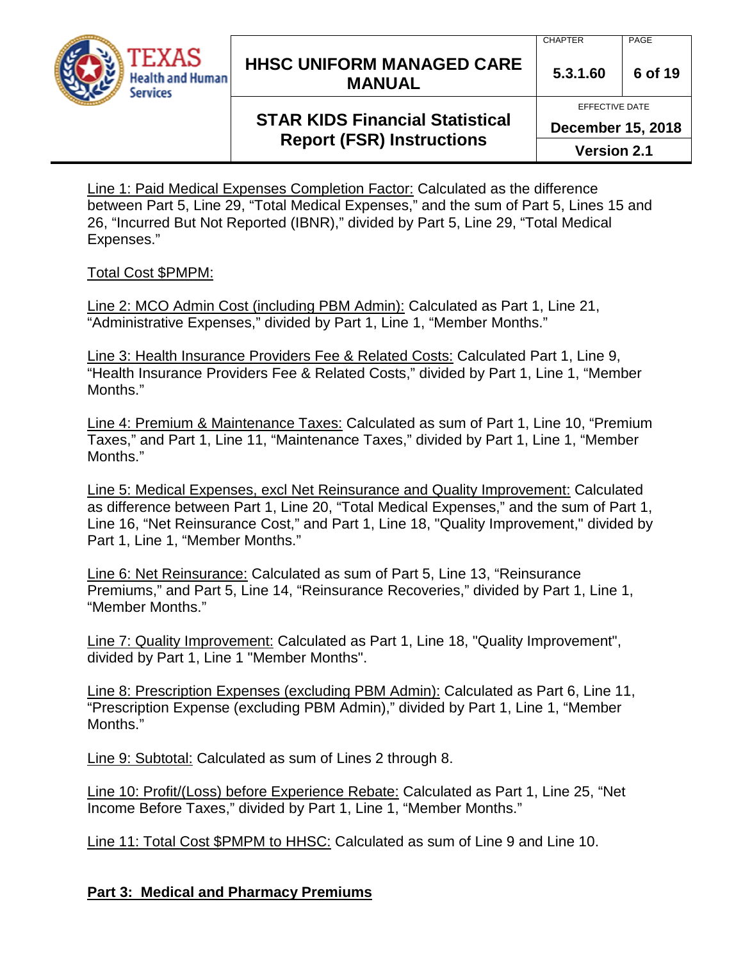

## **HHSC UNIFORM MANAGED CARE MANUAL** 5.3.1.60 6 of 19

#### EFFECTIVE DATE

## **STAR KIDS Financial Statistical Report (FSR) Instructions**

**December 15, 2018**

**Version 2.1**

Line 1: Paid Medical Expenses Completion Factor: Calculated as the difference between Part 5, Line 29, "Total Medical Expenses," and the sum of Part 5, Lines 15 and 26, "Incurred But Not Reported (IBNR)," divided by Part 5, Line 29, "Total Medical Expenses."

### Total Cost \$PMPM:

Line 2: MCO Admin Cost (including PBM Admin): Calculated as Part 1, Line 21, "Administrative Expenses," divided by Part 1, Line 1, "Member Months."

Line 3: Health Insurance Providers Fee & Related Costs: Calculated Part 1, Line 9, "Health Insurance Providers Fee & Related Costs," divided by Part 1, Line 1, "Member Months."

Line 4: Premium & Maintenance Taxes: Calculated as sum of Part 1, Line 10, "Premium Taxes," and Part 1, Line 11, "Maintenance Taxes," divided by Part 1, Line 1, "Member Months."

Line 5: Medical Expenses, excl Net Reinsurance and Quality Improvement: Calculated as difference between Part 1, Line 20, "Total Medical Expenses," and the sum of Part 1, Line 16, "Net Reinsurance Cost," and Part 1, Line 18, "Quality Improvement," divided by Part 1, Line 1, "Member Months."

Line 6: Net Reinsurance: Calculated as sum of Part 5, Line 13, "Reinsurance Premiums," and Part 5, Line 14, "Reinsurance Recoveries," divided by Part 1, Line 1, "Member Months."

Line 7: Quality Improvement: Calculated as Part 1, Line 18, "Quality Improvement", divided by Part 1, Line 1 "Member Months".

Line 8: Prescription Expenses (excluding PBM Admin): Calculated as Part 6, Line 11, "Prescription Expense (excluding PBM Admin)," divided by Part 1, Line 1, "Member Months."

Line 9: Subtotal: Calculated as sum of Lines 2 through 8.

Line 10: Profit/(Loss) before Experience Rebate: Calculated as Part 1, Line 25, "Net Income Before Taxes," divided by Part 1, Line 1, "Member Months."

Line 11: Total Cost \$PMPM to HHSC: Calculated as sum of Line 9 and Line 10.

### **Part 3: Medical and Pharmacy Premiums**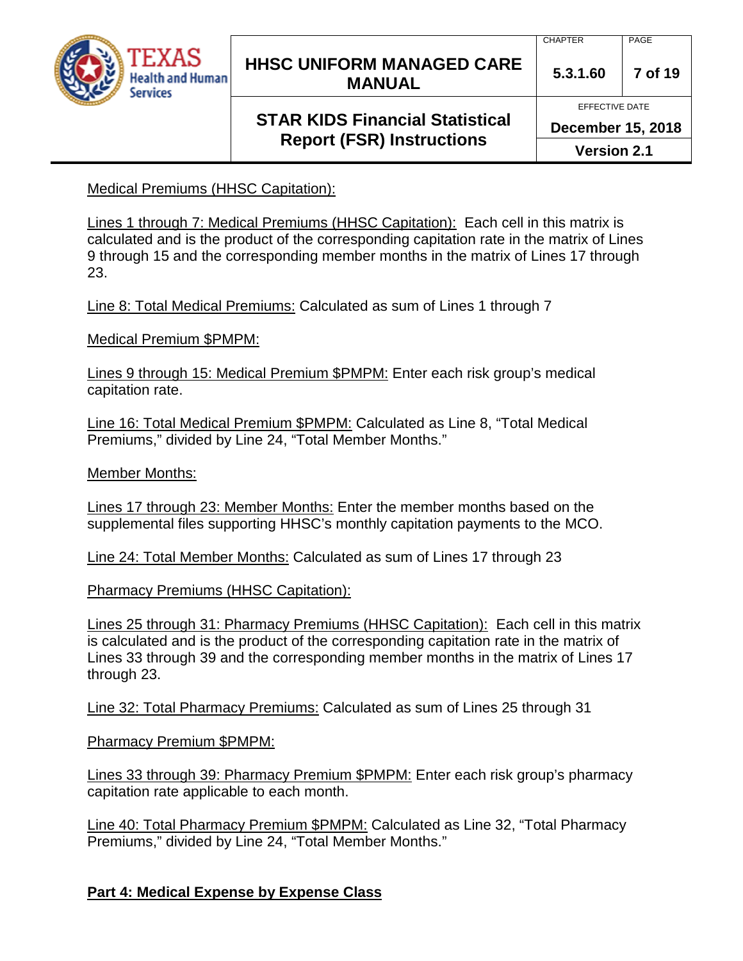

## **HHSC UNIFORM MANAGED CARE MANUAL 5.3.1.60 <sup>7</sup> of 19**

## **STAR KIDS Financial Statistical Report (FSR) Instructions**

CHAPTER | PAGE

EFFECTIVE DATE

**December 15, 2018**

**Version 2.1**

Medical Premiums (HHSC Capitation):

Lines 1 through 7: Medical Premiums (HHSC Capitation): Each cell in this matrix is calculated and is the product of the corresponding capitation rate in the matrix of Lines 9 through 15 and the corresponding member months in the matrix of Lines 17 through 23.

Line 8: Total Medical Premiums: Calculated as sum of Lines 1 through 7

Medical Premium \$PMPM:

Lines 9 through 15: Medical Premium \$PMPM: Enter each risk group's medical capitation rate.

Line 16: Total Medical Premium \$PMPM: Calculated as Line 8, "Total Medical Premiums," divided by Line 24, "Total Member Months."

Member Months:

Lines 17 through 23: Member Months: Enter the member months based on the supplemental files supporting HHSC's monthly capitation payments to the MCO.

Line 24: Total Member Months: Calculated as sum of Lines 17 through 23

Pharmacy Premiums (HHSC Capitation):

Lines 25 through 31: Pharmacy Premiums (HHSC Capitation): Each cell in this matrix is calculated and is the product of the corresponding capitation rate in the matrix of Lines 33 through 39 and the corresponding member months in the matrix of Lines 17 through 23.

Line 32: Total Pharmacy Premiums: Calculated as sum of Lines 25 through 31

Pharmacy Premium \$PMPM:

Lines 33 through 39: Pharmacy Premium \$PMPM: Enter each risk group's pharmacy capitation rate applicable to each month.

Line 40: Total Pharmacy Premium \$PMPM: Calculated as Line 32, "Total Pharmacy Premiums," divided by Line 24, "Total Member Months."

**Part 4: Medical Expense by Expense Class**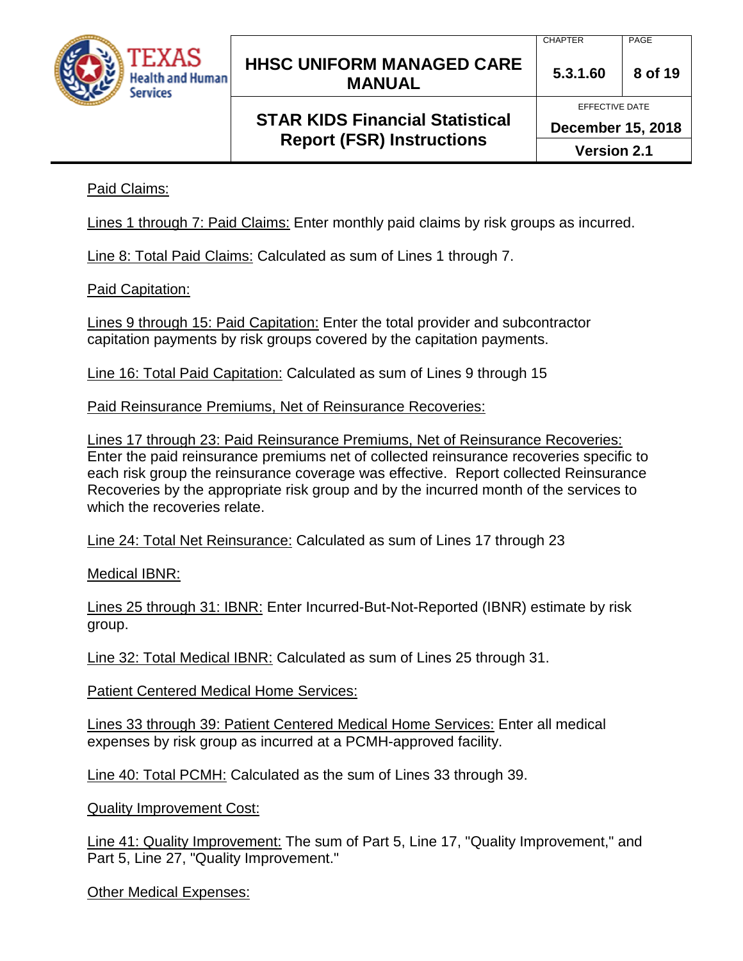

# **STAR KIDS Financial Statistical Report (FSR) Instructions**

EFFECTIVE DATE

**December 15, 2018**

**Version 2.1**

Paid Claims:

Lines 1 through 7: Paid Claims: Enter monthly paid claims by risk groups as incurred.

Line 8: Total Paid Claims: Calculated as sum of Lines 1 through 7.

Paid Capitation:

Lines 9 through 15: Paid Capitation: Enter the total provider and subcontractor capitation payments by risk groups covered by the capitation payments.

Line 16: Total Paid Capitation: Calculated as sum of Lines 9 through 15

Paid Reinsurance Premiums, Net of Reinsurance Recoveries:

Lines 17 through 23: Paid Reinsurance Premiums, Net of Reinsurance Recoveries: Enter the paid reinsurance premiums net of collected reinsurance recoveries specific to each risk group the reinsurance coverage was effective. Report collected Reinsurance Recoveries by the appropriate risk group and by the incurred month of the services to which the recoveries relate.

Line 24: Total Net Reinsurance: Calculated as sum of Lines 17 through 23

Medical IBNR:

Lines 25 through 31: IBNR: Enter Incurred-But-Not-Reported (IBNR) estimate by risk group.

Line 32: Total Medical IBNR: Calculated as sum of Lines 25 through 31.

Patient Centered Medical Home Services:

Lines 33 through 39: Patient Centered Medical Home Services: Enter all medical expenses by risk group as incurred at a PCMH-approved facility.

Line 40: Total PCMH: Calculated as the sum of Lines 33 through 39.

Quality Improvement Cost:

Line 41: Quality Improvement: The sum of Part 5, Line 17, "Quality Improvement," and Part 5, Line 27, "Quality Improvement."

Other Medical Expenses: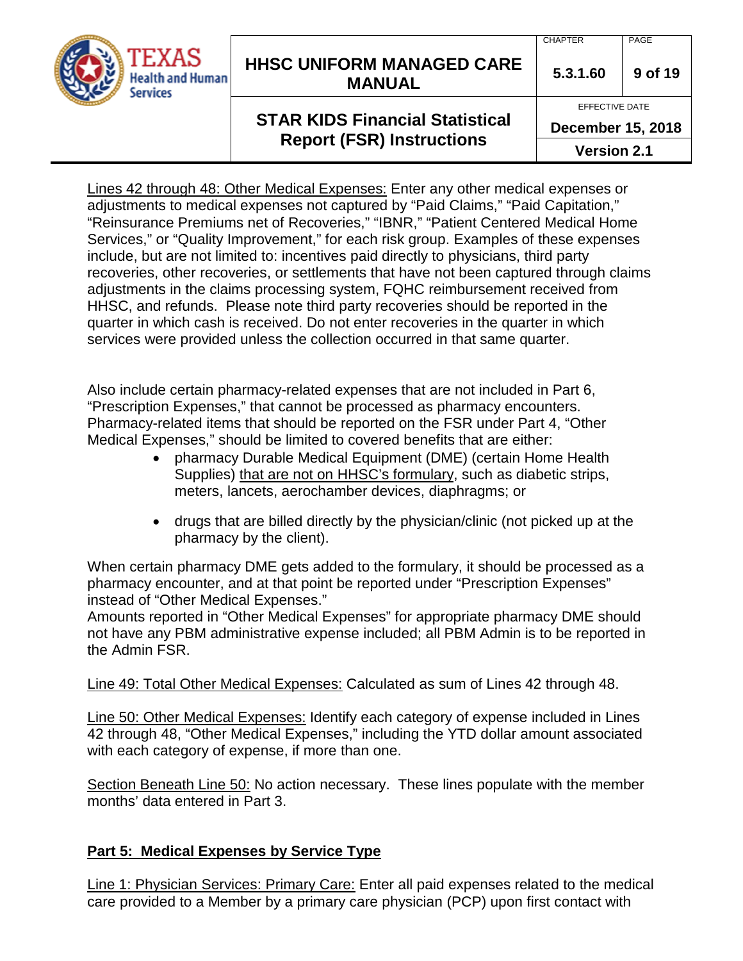

## **HHSC UNIFORM MANAGED CARE MANUAL 5.3.1.60 <sup>9</sup> of 19**

### CHAPTER | PAGE

EFFECTIVE DATE

# **STAR KIDS Financial Statistical Report (FSR) Instructions**

**December 15, 2018**

**Version 2.1**

Lines 42 through 48: Other Medical Expenses: Enter any other medical expenses or adjustments to medical expenses not captured by "Paid Claims," "Paid Capitation," "Reinsurance Premiums net of Recoveries," "IBNR," "Patient Centered Medical Home Services," or "Quality Improvement," for each risk group. Examples of these expenses include, but are not limited to: incentives paid directly to physicians, third party recoveries, other recoveries, or settlements that have not been captured through claims adjustments in the claims processing system, FQHC reimbursement received from HHSC, and refunds. Please note third party recoveries should be reported in the quarter in which cash is received. Do not enter recoveries in the quarter in which services were provided unless the collection occurred in that same quarter.

Also include certain pharmacy-related expenses that are not included in Part 6, "Prescription Expenses," that cannot be processed as pharmacy encounters. Pharmacy-related items that should be reported on the FSR under Part 4, "Other Medical Expenses," should be limited to covered benefits that are either:

- pharmacy Durable Medical Equipment (DME) (certain Home Health Supplies) that are not on HHSC's formulary, such as diabetic strips, meters, lancets, aerochamber devices, diaphragms; or
- drugs that are billed directly by the physician/clinic (not picked up at the pharmacy by the client).

When certain pharmacy DME gets added to the formulary, it should be processed as a pharmacy encounter, and at that point be reported under "Prescription Expenses" instead of "Other Medical Expenses."

Amounts reported in "Other Medical Expenses" for appropriate pharmacy DME should not have any PBM administrative expense included; all PBM Admin is to be reported in the Admin FSR.

Line 49: Total Other Medical Expenses: Calculated as sum of Lines 42 through 48.

Line 50: Other Medical Expenses: Identify each category of expense included in Lines 42 through 48, "Other Medical Expenses," including the YTD dollar amount associated with each category of expense, if more than one.

Section Beneath Line 50: No action necessary. These lines populate with the member months' data entered in Part 3.

## **Part 5: Medical Expenses by Service Type**

Line 1: Physician Services: Primary Care: Enter all paid expenses related to the medical care provided to a Member by a primary care physician (PCP) upon first contact with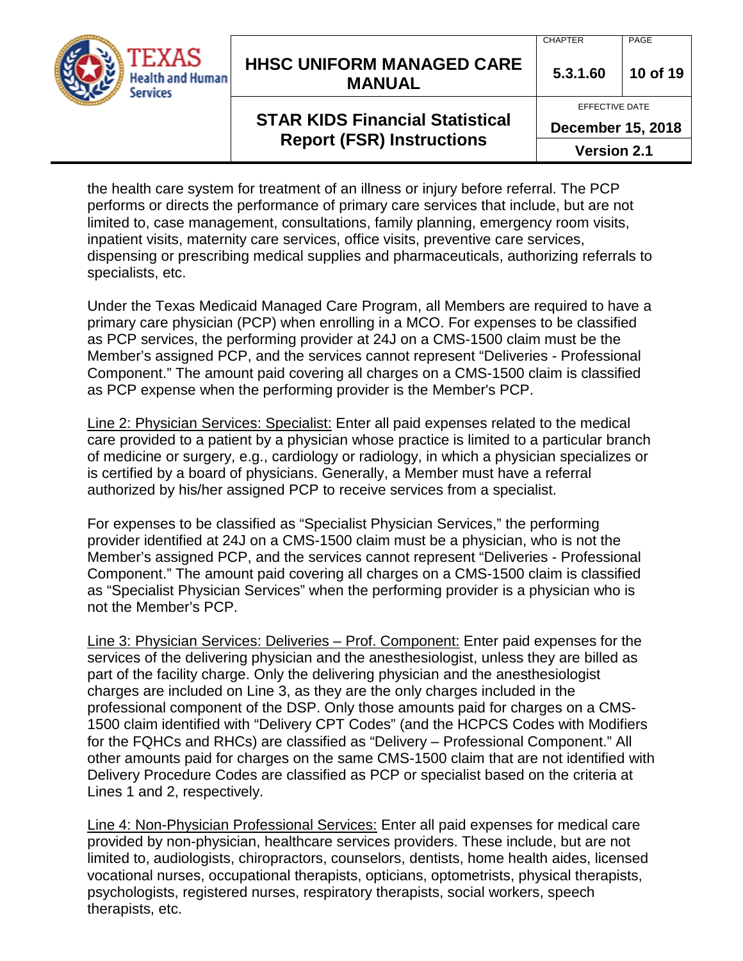

## **HHSC UNIFORM MANAGED CARE MANUAL 5.3.1.60 <sup>10</sup> of 19**

#### CHAPTER | PAGE

EFFECTIVE DATE

# **STAR KIDS Financial Statistical Report (FSR) Instructions**

**December 15, 2018**

**Version 2.1**

the health care system for treatment of an illness or injury before referral. The PCP performs or directs the performance of primary care services that include, but are not limited to, case management, consultations, family planning, emergency room visits, inpatient visits, maternity care services, office visits, preventive care services, dispensing or prescribing medical supplies and pharmaceuticals, authorizing referrals to specialists, etc.

Under the Texas Medicaid Managed Care Program, all Members are required to have a primary care physician (PCP) when enrolling in a MCO. For expenses to be classified as PCP services, the performing provider at 24J on a CMS-1500 claim must be the Member's assigned PCP, and the services cannot represent "Deliveries - Professional Component." The amount paid covering all charges on a CMS-1500 claim is classified as PCP expense when the performing provider is the Member's PCP.

Line 2: Physician Services: Specialist: Enter all paid expenses related to the medical care provided to a patient by a physician whose practice is limited to a particular branch of medicine or surgery, e.g., cardiology or radiology, in which a physician specializes or is certified by a board of physicians. Generally, a Member must have a referral authorized by his/her assigned PCP to receive services from a specialist.

For expenses to be classified as "Specialist Physician Services," the performing provider identified at 24J on a CMS-1500 claim must be a physician, who is not the Member's assigned PCP, and the services cannot represent "Deliveries - Professional Component." The amount paid covering all charges on a CMS-1500 claim is classified as "Specialist Physician Services" when the performing provider is a physician who is not the Member's PCP.

Line 3: Physician Services: Deliveries – Prof. Component: Enter paid expenses for the services of the delivering physician and the anesthesiologist, unless they are billed as part of the facility charge. Only the delivering physician and the anesthesiologist charges are included on Line 3, as they are the only charges included in the professional component of the DSP. Only those amounts paid for charges on a CMS-1500 claim identified with "Delivery CPT Codes" (and the HCPCS Codes with Modifiers for the FQHCs and RHCs) are classified as "Delivery – Professional Component." All other amounts paid for charges on the same CMS-1500 claim that are not identified with Delivery Procedure Codes are classified as PCP or specialist based on the criteria at Lines 1 and 2, respectively.

Line 4: Non-Physician Professional Services: Enter all paid expenses for medical care provided by non-physician, healthcare services providers. These include, but are not limited to, audiologists, chiropractors, counselors, dentists, home health aides, licensed vocational nurses, occupational therapists, opticians, optometrists, physical therapists, psychologists, registered nurses, respiratory therapists, social workers, speech therapists, etc.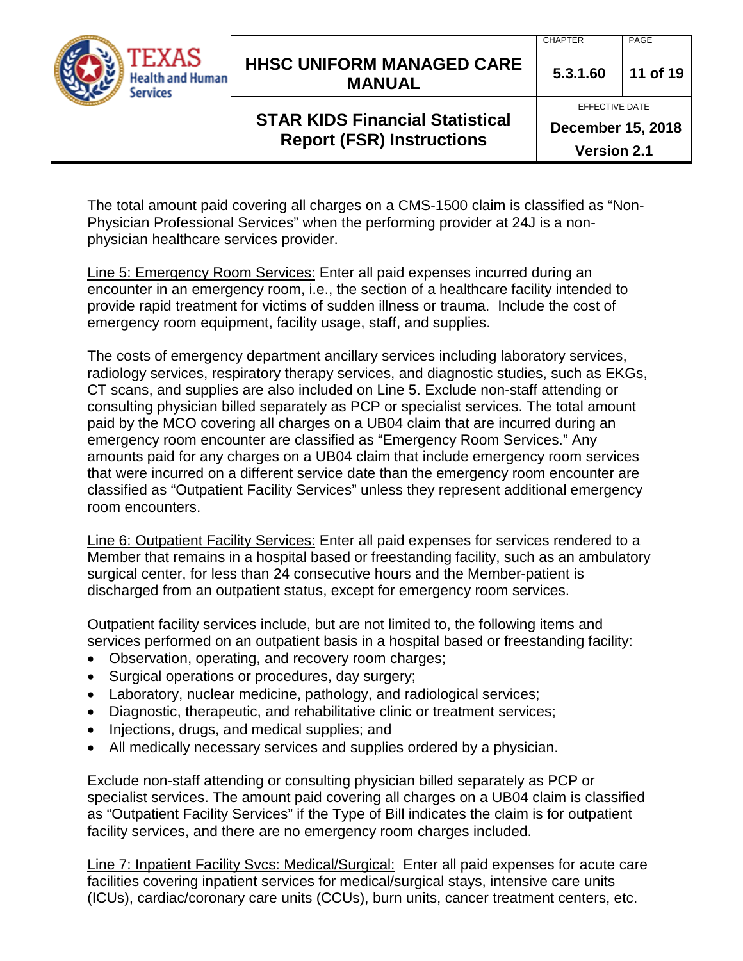

## **HHSC UNIFORM MANAGED CARE MANUAL 5.3.1.60 <sup>11</sup> of 19**

#### CHAPTER | PAGE

EFFECTIVE DATE

# **STAR KIDS Financial Statistical Report (FSR) Instructions**

**December 15, 2018**

**Version 2.1**

The total amount paid covering all charges on a CMS-1500 claim is classified as "Non-Physician Professional Services" when the performing provider at 24J is a nonphysician healthcare services provider.

Line 5: Emergency Room Services: Enter all paid expenses incurred during an encounter in an emergency room, i.e., the section of a healthcare facility intended to provide rapid treatment for victims of sudden illness or trauma. Include the cost of emergency room equipment, facility usage, staff, and supplies.

The costs of emergency department ancillary services including laboratory services, radiology services, respiratory therapy services, and diagnostic studies, such as EKGs, CT scans, and supplies are also included on Line 5. Exclude non-staff attending or consulting physician billed separately as PCP or specialist services. The total amount paid by the MCO covering all charges on a UB04 claim that are incurred during an emergency room encounter are classified as "Emergency Room Services." Any amounts paid for any charges on a UB04 claim that include emergency room services that were incurred on a different service date than the emergency room encounter are classified as "Outpatient Facility Services" unless they represent additional emergency room encounters.

Line 6: Outpatient Facility Services: Enter all paid expenses for services rendered to a Member that remains in a hospital based or freestanding facility, such as an ambulatory surgical center, for less than 24 consecutive hours and the Member-patient is discharged from an outpatient status, except for emergency room services.

Outpatient facility services include, but are not limited to, the following items and services performed on an outpatient basis in a hospital based or freestanding facility:

- Observation, operating, and recovery room charges;
- Surgical operations or procedures, day surgery;
- Laboratory, nuclear medicine, pathology, and radiological services;
- Diagnostic, therapeutic, and rehabilitative clinic or treatment services;
- Injections, drugs, and medical supplies; and
- All medically necessary services and supplies ordered by a physician.

Exclude non-staff attending or consulting physician billed separately as PCP or specialist services. The amount paid covering all charges on a UB04 claim is classified as "Outpatient Facility Services" if the Type of Bill indicates the claim is for outpatient facility services, and there are no emergency room charges included.

Line 7: Inpatient Facility Svcs: Medical/Surgical: Enter all paid expenses for acute care facilities covering inpatient services for medical/surgical stays, intensive care units (ICUs), cardiac/coronary care units (CCUs), burn units, cancer treatment centers, etc.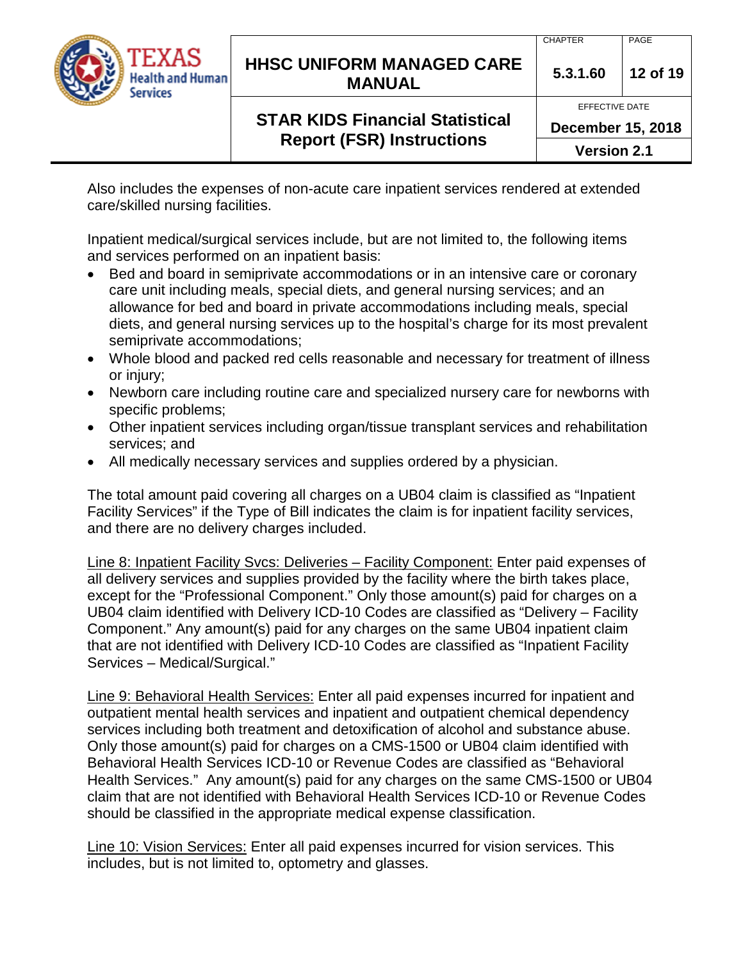

## **HHSC UNIFORM MANAGED CARE MANUAL 5.3.1.60 <sup>12</sup> of 19**

#### CHAPTER | PAGE

EFFECTIVE DATE

# **STAR KIDS Financial Statistical Report (FSR) Instructions**

**December 15, 2018**

**Version 2.1**

Also includes the expenses of non-acute care inpatient services rendered at extended care/skilled nursing facilities.

Inpatient medical/surgical services include, but are not limited to, the following items and services performed on an inpatient basis:

- Bed and board in semiprivate accommodations or in an intensive care or coronary care unit including meals, special diets, and general nursing services; and an allowance for bed and board in private accommodations including meals, special diets, and general nursing services up to the hospital's charge for its most prevalent semiprivate accommodations;
- Whole blood and packed red cells reasonable and necessary for treatment of illness or injury;
- Newborn care including routine care and specialized nursery care for newborns with specific problems;
- Other inpatient services including organ/tissue transplant services and rehabilitation services; and
- All medically necessary services and supplies ordered by a physician.

The total amount paid covering all charges on a UB04 claim is classified as "Inpatient Facility Services" if the Type of Bill indicates the claim is for inpatient facility services, and there are no delivery charges included.

Line 8: Inpatient Facility Svcs: Deliveries – Facility Component: Enter paid expenses of all delivery services and supplies provided by the facility where the birth takes place, except for the "Professional Component." Only those amount(s) paid for charges on a UB04 claim identified with Delivery ICD-10 Codes are classified as "Delivery – Facility Component." Any amount(s) paid for any charges on the same UB04 inpatient claim that are not identified with Delivery ICD-10 Codes are classified as "Inpatient Facility Services – Medical/Surgical."

Line 9: Behavioral Health Services: Enter all paid expenses incurred for inpatient and outpatient mental health services and inpatient and outpatient chemical dependency services including both treatment and detoxification of alcohol and substance abuse. Only those amount(s) paid for charges on a CMS-1500 or UB04 claim identified with Behavioral Health Services ICD-10 or Revenue Codes are classified as "Behavioral Health Services." Any amount(s) paid for any charges on the same CMS-1500 or UB04 claim that are not identified with Behavioral Health Services ICD-10 or Revenue Codes should be classified in the appropriate medical expense classification.

Line 10: Vision Services: Enter all paid expenses incurred for vision services. This includes, but is not limited to, optometry and glasses.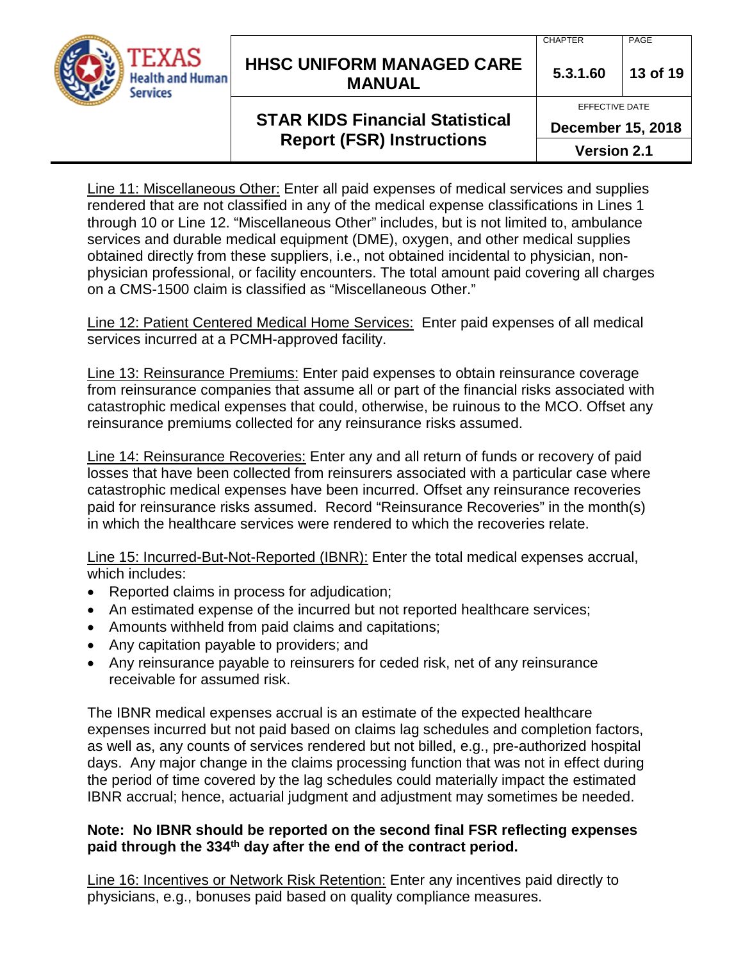

## **HHSC UNIFORM MANAGED CARE MANUAL 5.3.1.60 <sup>13</sup> of 19**

#### EFFECTIVE DATE

## **STAR KIDS Financial Statistical Report (FSR) Instructions**

**December 15, 2018**

**Version 2.1**

Line 11: Miscellaneous Other: Enter all paid expenses of medical services and supplies rendered that are not classified in any of the medical expense classifications in Lines 1 through 10 or Line 12. "Miscellaneous Other" includes, but is not limited to, ambulance services and durable medical equipment (DME), oxygen, and other medical supplies obtained directly from these suppliers, i.e., not obtained incidental to physician, nonphysician professional, or facility encounters. The total amount paid covering all charges on a CMS-1500 claim is classified as "Miscellaneous Other."

Line 12: Patient Centered Medical Home Services: Enter paid expenses of all medical services incurred at a PCMH-approved facility.

Line 13: Reinsurance Premiums: Enter paid expenses to obtain reinsurance coverage from reinsurance companies that assume all or part of the financial risks associated with catastrophic medical expenses that could, otherwise, be ruinous to the MCO. Offset any reinsurance premiums collected for any reinsurance risks assumed.

Line 14: Reinsurance Recoveries: Enter any and all return of funds or recovery of paid losses that have been collected from reinsurers associated with a particular case where catastrophic medical expenses have been incurred. Offset any reinsurance recoveries paid for reinsurance risks assumed. Record "Reinsurance Recoveries" in the month(s) in which the healthcare services were rendered to which the recoveries relate.

Line 15: Incurred-But-Not-Reported (IBNR): Enter the total medical expenses accrual, which includes:

- Reported claims in process for adjudication;
- An estimated expense of the incurred but not reported healthcare services;
- Amounts withheld from paid claims and capitations;
- Any capitation payable to providers; and
- Any reinsurance payable to reinsurers for ceded risk, net of any reinsurance receivable for assumed risk.

The IBNR medical expenses accrual is an estimate of the expected healthcare expenses incurred but not paid based on claims lag schedules and completion factors, as well as, any counts of services rendered but not billed, e.g., pre-authorized hospital days. Any major change in the claims processing function that was not in effect during the period of time covered by the lag schedules could materially impact the estimated IBNR accrual; hence, actuarial judgment and adjustment may sometimes be needed.

### **Note: No IBNR should be reported on the second final FSR reflecting expenses paid through the 334th day after the end of the contract period.**

Line 16: Incentives or Network Risk Retention: Enter any incentives paid directly to physicians, e.g., bonuses paid based on quality compliance measures.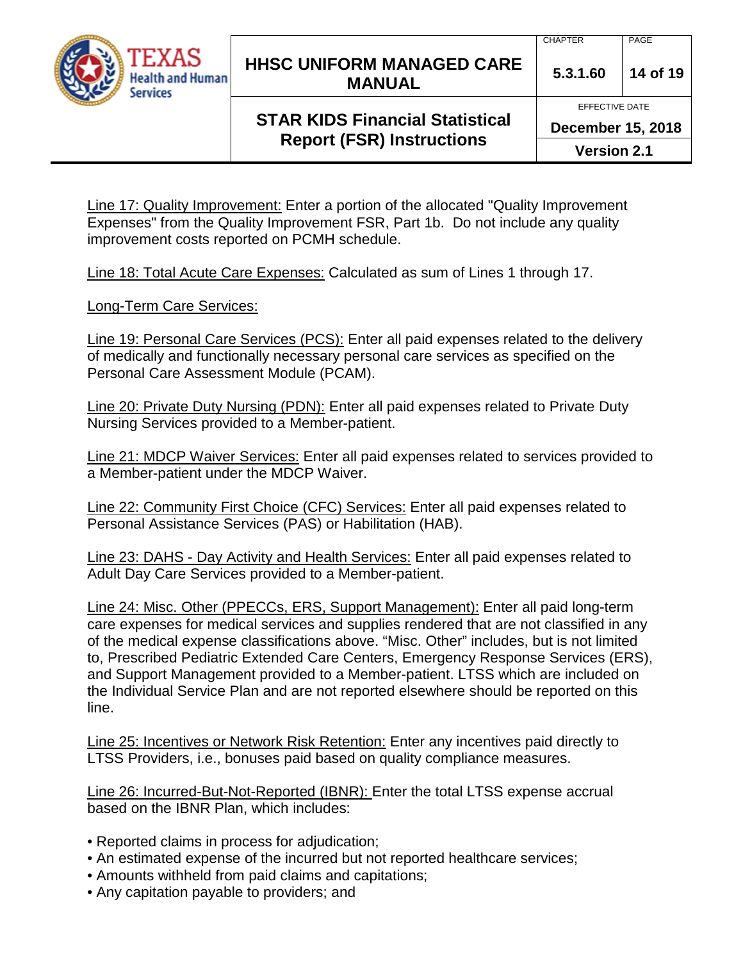

## **HHSC UNIFORM MANAGED CARE MANUAL 5.3.1.60 <sup>14</sup> of 19**

## **STAR KIDS Financial Statistical Report (FSR) Instructions**

EFFECTIVE DATE

**December 15, 2018**

**Version 2.1**

Line 17: Quality Improvement: Enter a portion of the allocated "Quality Improvement Expenses" from the Quality Improvement FSR, Part 1b. Do not include any quality improvement costs reported on PCMH schedule.

Line 18: Total Acute Care Expenses: Calculated as sum of Lines 1 through 17.

Long-Term Care Services:

Line 19: Personal Care Services (PCS): Enter all paid expenses related to the delivery of medically and functionally necessary personal care services as specified on the Personal Care Assessment Module (PCAM).

Line 20: Private Duty Nursing (PDN): Enter all paid expenses related to Private Duty Nursing Services provided to a Member-patient.

Line 21: MDCP Waiver Services: Enter all paid expenses related to services provided to a Member-patient under the MDCP Waiver.

Line 22: Community First Choice (CFC) Services: Enter all paid expenses related to Personal Assistance Services (PAS) or Habilitation (HAB).

Line 23: DAHS - Day Activity and Health Services: Enter all paid expenses related to Adult Day Care Services provided to a Member-patient.

Line 24: Misc. Other (PPECCs, ERS, Support Management): Enter all paid long-term care expenses for medical services and supplies rendered that are not classified in any of the medical expense classifications above. "Misc. Other" includes, but is not limited to, Prescribed Pediatric Extended Care Centers, Emergency Response Services (ERS), and Support Management provided to a Member-patient. LTSS which are included on the Individual Service Plan and are not reported elsewhere should be reported on this line.

Line 25: Incentives or Network Risk Retention: Enter any incentives paid directly to LTSS Providers, i.e., bonuses paid based on quality compliance measures.

Line 26: Incurred-But-Not-Reported (IBNR): Enter the total LTSS expense accrual based on the IBNR Plan, which includes:

- Reported claims in process for adjudication;
- An estimated expense of the incurred but not reported healthcare services;
- Amounts withheld from paid claims and capitations;
- Any capitation payable to providers; and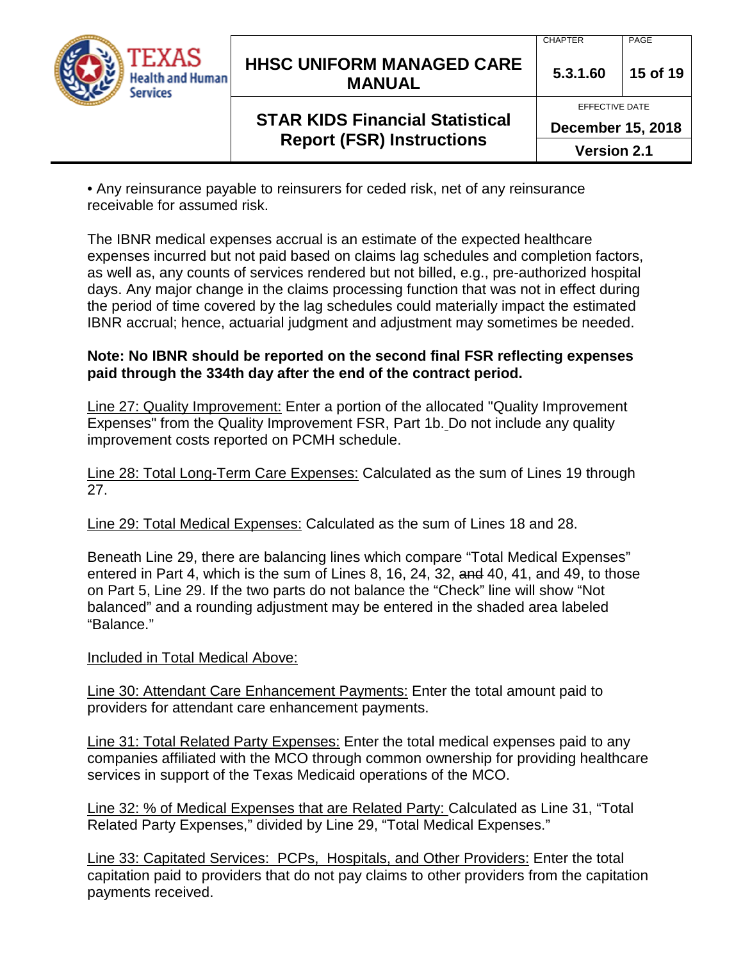

## **HHSC UNIFORM MANAGED CARE MANUAL 5.3.1.60 <sup>15</sup> of 19**

# **STAR KIDS Financial Statistical Report (FSR) Instructions**

EFFECTIVE DATE

**December 15, 2018**

**Version 2.1**

• Any reinsurance payable to reinsurers for ceded risk, net of any reinsurance receivable for assumed risk.

The IBNR medical expenses accrual is an estimate of the expected healthcare expenses incurred but not paid based on claims lag schedules and completion factors, as well as, any counts of services rendered but not billed, e.g., pre-authorized hospital days. Any major change in the claims processing function that was not in effect during the period of time covered by the lag schedules could materially impact the estimated IBNR accrual; hence, actuarial judgment and adjustment may sometimes be needed.

### **Note: No IBNR should be reported on the second final FSR reflecting expenses paid through the 334th day after the end of the contract period.**

Line 27: Quality Improvement: Enter a portion of the allocated "Quality Improvement Expenses" from the Quality Improvement FSR, Part 1b. Do not include any quality improvement costs reported on PCMH schedule.

Line 28: Total Long-Term Care Expenses: Calculated as the sum of Lines 19 through 27.

Line 29: Total Medical Expenses: Calculated as the sum of Lines 18 and 28.

Beneath Line 29, there are balancing lines which compare "Total Medical Expenses" entered in Part 4, which is the sum of Lines 8, 16, 24, 32, and 40, 41, and 49, to those on Part 5, Line 29. If the two parts do not balance the "Check" line will show "Not balanced" and a rounding adjustment may be entered in the shaded area labeled "Balance."

Included in Total Medical Above:

Line 30: Attendant Care Enhancement Payments: Enter the total amount paid to providers for attendant care enhancement payments.

Line 31: Total Related Party Expenses: Enter the total medical expenses paid to any companies affiliated with the MCO through common ownership for providing healthcare services in support of the Texas Medicaid operations of the MCO.

Line 32: % of Medical Expenses that are Related Party: Calculated as Line 31, "Total Related Party Expenses," divided by Line 29, "Total Medical Expenses."

Line 33: Capitated Services: PCPs, Hospitals, and Other Providers: Enter the total capitation paid to providers that do not pay claims to other providers from the capitation payments received.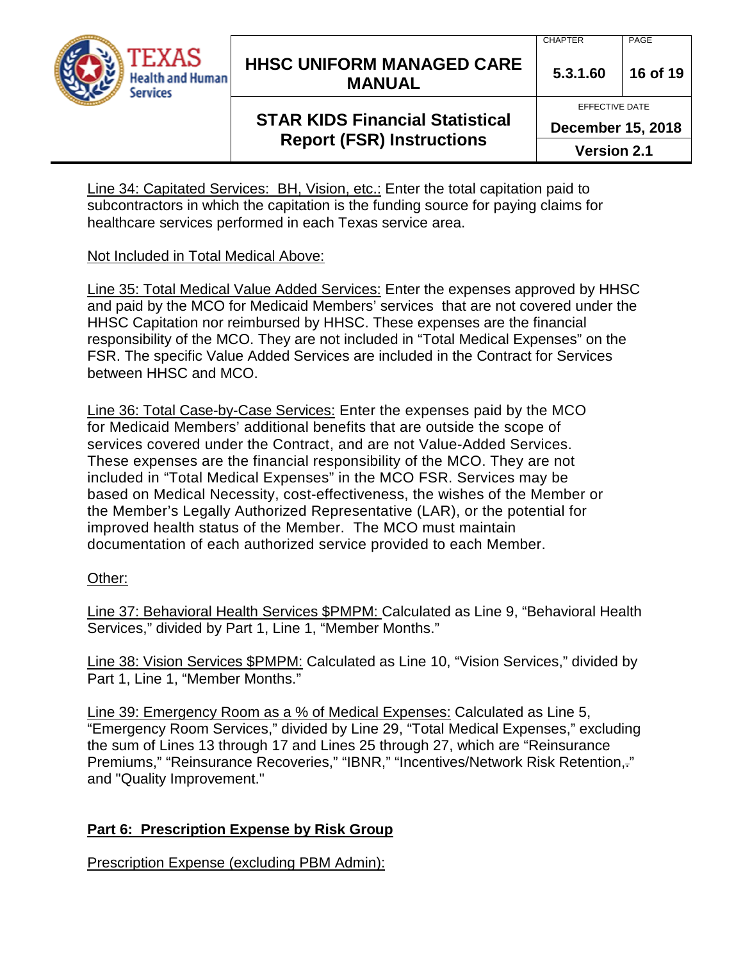

## **HHSC UNIFORM MANAGED CARE MANUAL 5.3.1.60 <sup>16</sup> of 19**

EFFECTIVE DATE

# **STAR KIDS Financial Statistical Report (FSR) Instructions**

**December 15, 2018**

**Version 2.1**

Line 34: Capitated Services: BH, Vision, etc.: Enter the total capitation paid to subcontractors in which the capitation is the funding source for paying claims for healthcare services performed in each Texas service area.

### Not Included in Total Medical Above:

Line 35: Total Medical Value Added Services: Enter the expenses approved by HHSC and paid by the MCO for Medicaid Members' services that are not covered under the HHSC Capitation nor reimbursed by HHSC. These expenses are the financial responsibility of the MCO. They are not included in "Total Medical Expenses" on the FSR. The specific Value Added Services are included in the Contract for Services between HHSC and MCO.

Line 36: Total Case-by-Case Services: Enter the expenses paid by the MCO for Medicaid Members' additional benefits that are outside the scope of services covered under the Contract, and are not Value-Added Services. These expenses are the financial responsibility of the MCO. They are not included in "Total Medical Expenses" in the MCO FSR. Services may be based on Medical Necessity, cost-effectiveness, the wishes of the Member or the Member's Legally Authorized Representative (LAR), or the potential for improved health status of the Member. The MCO must maintain documentation of each authorized service provided to each Member.

## Other:

Line 37: Behavioral Health Services \$PMPM: Calculated as Line 9, "Behavioral Health Services," divided by Part 1, Line 1, "Member Months."

Line 38: Vision Services \$PMPM: Calculated as Line 10, "Vision Services," divided by Part 1, Line 1, "Member Months."

Line 39: Emergency Room as a % of Medical Expenses: Calculated as Line 5, "Emergency Room Services," divided by Line 29, "Total Medical Expenses," excluding the sum of Lines 13 through 17 and Lines 25 through 27, which are "Reinsurance Premiums," "Reinsurance Recoveries," "IBNR," "Incentives/Network Risk Retention,." and "Quality Improvement."

## **Part 6: Prescription Expense by Risk Group**

Prescription Expense (excluding PBM Admin):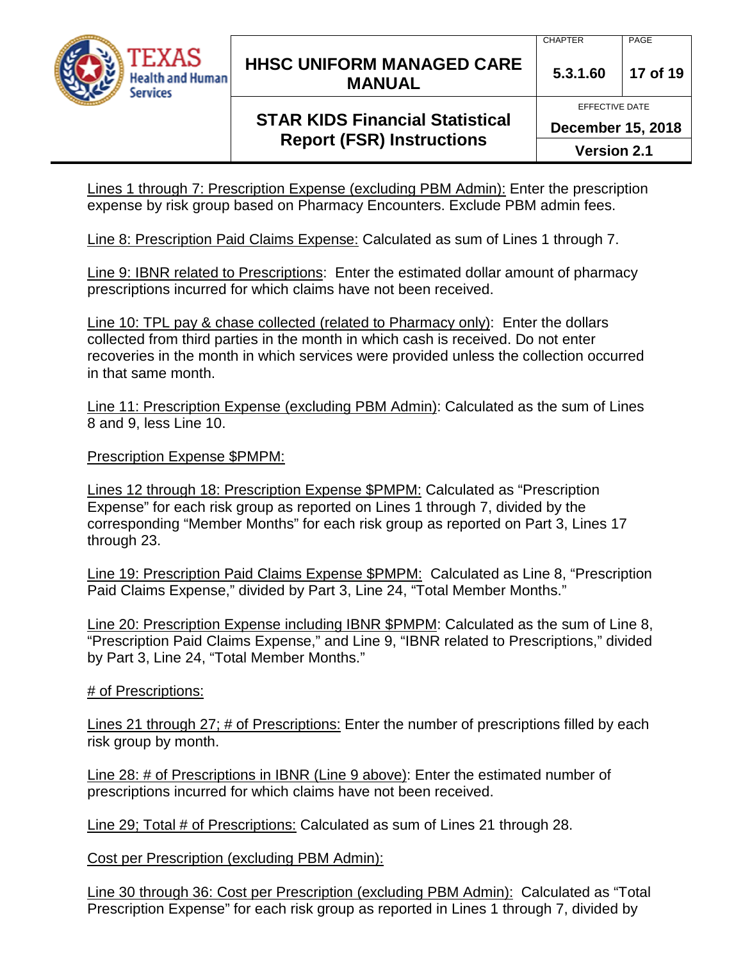

## **HHSC UNIFORM MANAGED CARE MANUAL 5.3.1.60 <sup>17</sup> of 19**

#### CHAPTER | PAGE

EFFECTIVE DATE

# **STAR KIDS Financial Statistical Report (FSR) Instructions**

**December 15, 2018**

**Version 2.1**

Lines 1 through 7: Prescription Expense (excluding PBM Admin): Enter the prescription expense by risk group based on Pharmacy Encounters. Exclude PBM admin fees.

Line 8: Prescription Paid Claims Expense: Calculated as sum of Lines 1 through 7.

Line 9: IBNR related to Prescriptions: Enter the estimated dollar amount of pharmacy prescriptions incurred for which claims have not been received.

Line 10: TPL pay & chase collected (related to Pharmacy only): Enter the dollars collected from third parties in the month in which cash is received. Do not enter recoveries in the month in which services were provided unless the collection occurred in that same month.

Line 11: Prescription Expense (excluding PBM Admin): Calculated as the sum of Lines 8 and 9, less Line 10.

Prescription Expense \$PMPM:

Lines 12 through 18: Prescription Expense \$PMPM: Calculated as "Prescription Expense" for each risk group as reported on Lines 1 through 7, divided by the corresponding "Member Months" for each risk group as reported on Part 3, Lines 17 through 23.

Line 19: Prescription Paid Claims Expense \$PMPM: Calculated as Line 8, "Prescription Paid Claims Expense," divided by Part 3, Line 24, "Total Member Months."

Line 20: Prescription Expense including IBNR \$PMPM: Calculated as the sum of Line 8, "Prescription Paid Claims Expense," and Line 9, "IBNR related to Prescriptions," divided by Part 3, Line 24, "Total Member Months."

# of Prescriptions:

Lines 21 through 27; # of Prescriptions: Enter the number of prescriptions filled by each risk group by month.

Line 28: # of Prescriptions in IBNR (Line 9 above): Enter the estimated number of prescriptions incurred for which claims have not been received.

Line 29; Total # of Prescriptions: Calculated as sum of Lines 21 through 28.

Cost per Prescription (excluding PBM Admin):

Line 30 through 36: Cost per Prescription (excluding PBM Admin): Calculated as "Total Prescription Expense" for each risk group as reported in Lines 1 through 7, divided by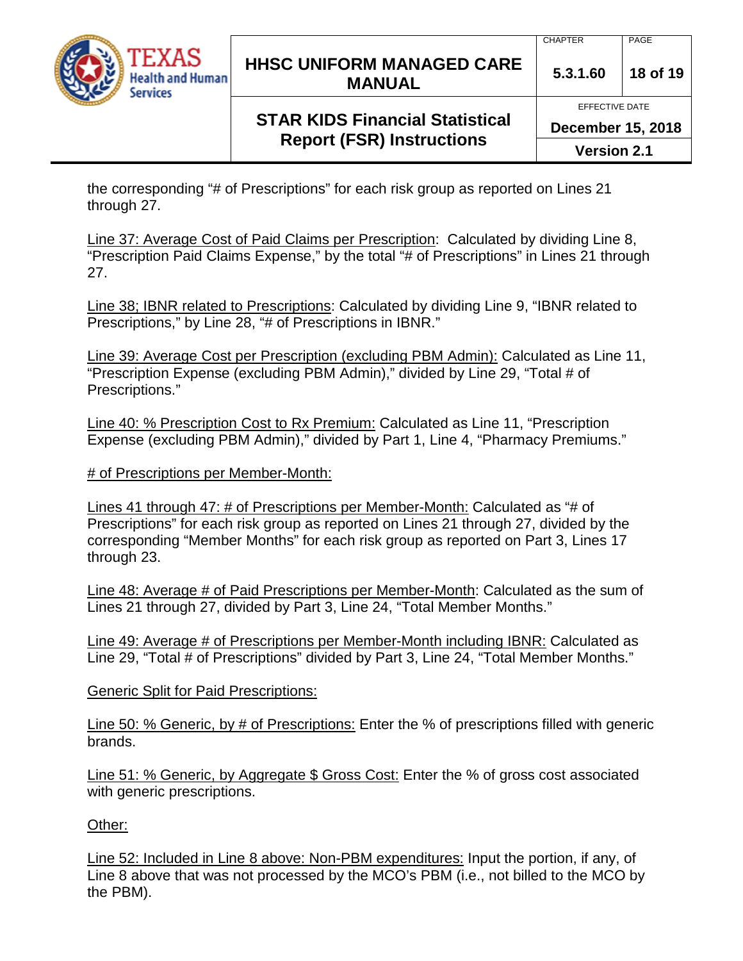

## **HHSC UNIFORM MANAGED CARE MANUAL 5.3.1.60 <sup>18</sup> of 19**

# **STAR KIDS Financial Statistical Report (FSR) Instructions**

EFFECTIVE DATE

**December 15, 2018**

**Version 2.1**

the corresponding "# of Prescriptions" for each risk group as reported on Lines 21 through 27.

Line 37: Average Cost of Paid Claims per Prescription: Calculated by dividing Line 8, "Prescription Paid Claims Expense," by the total "# of Prescriptions" in Lines 21 through 27.

Line 38; IBNR related to Prescriptions: Calculated by dividing Line 9, "IBNR related to Prescriptions," by Line 28, "# of Prescriptions in IBNR."

Line 39: Average Cost per Prescription (excluding PBM Admin): Calculated as Line 11, "Prescription Expense (excluding PBM Admin)," divided by Line 29, "Total # of Prescriptions."

Line 40: % Prescription Cost to Rx Premium: Calculated as Line 11, "Prescription Expense (excluding PBM Admin)," divided by Part 1, Line 4, "Pharmacy Premiums."

# of Prescriptions per Member-Month:

Lines 41 through 47: # of Prescriptions per Member-Month: Calculated as "# of Prescriptions" for each risk group as reported on Lines 21 through 27, divided by the corresponding "Member Months" for each risk group as reported on Part 3, Lines 17 through 23.

Line 48: Average # of Paid Prescriptions per Member-Month: Calculated as the sum of Lines 21 through 27, divided by Part 3, Line 24, "Total Member Months."

Line 49: Average # of Prescriptions per Member-Month including IBNR: Calculated as Line 29, "Total # of Prescriptions" divided by Part 3, Line 24, "Total Member Months."

Generic Split for Paid Prescriptions:

Line 50: % Generic, by # of Prescriptions: Enter the % of prescriptions filled with generic brands.

Line 51: % Generic, by Aggregate \$ Gross Cost: Enter the % of gross cost associated with generic prescriptions.

Other:

Line 52: Included in Line 8 above: Non-PBM expenditures: Input the portion, if any, of Line 8 above that was not processed by the MCO's PBM (i.e., not billed to the MCO by the PBM).